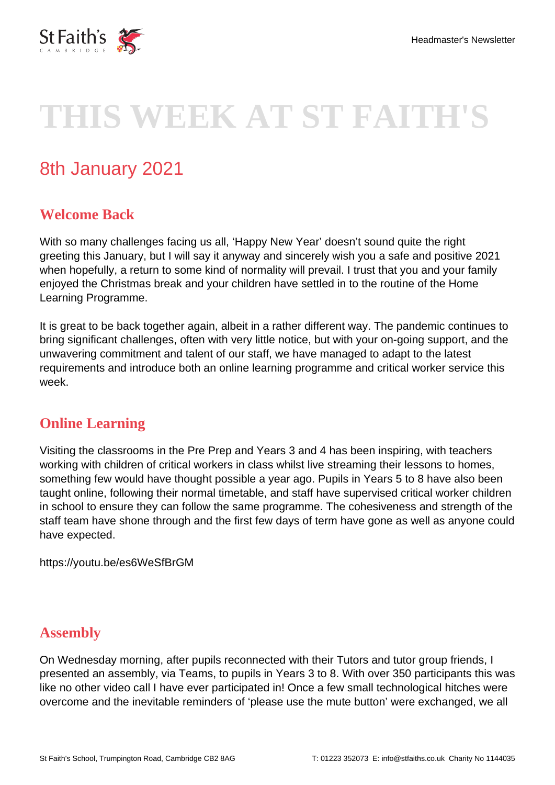

# **THIS WEEK AT ST FAITH'S**

# 8th January 2021

# **Welcome Back**

With so many challenges facing us all, 'Happy New Year' doesn't sound quite the right greeting this January, but I will say it anyway and sincerely wish you a safe and positive 2021 when hopefully, a return to some kind of normality will prevail. I trust that you and your family enjoyed the Christmas break and your children have settled in to the routine of the Home Learning Programme.

It is great to be back together again, albeit in a rather different way. The pandemic continues to bring significant challenges, often with very little notice, but with your on-going support, and the unwavering commitment and talent of our staff, we have managed to adapt to the latest requirements and introduce both an online learning programme and critical worker service this week.

#### **Online Learning**

Visiting the classrooms in the Pre Prep and Years 3 and 4 has been inspiring, with teachers working with children of critical workers in class whilst live streaming their lessons to homes, something few would have thought possible a year ago. Pupils in Years 5 to 8 have also been taught online, following their normal timetable, and staff have supervised critical worker children in school to ensure they can follow the same programme. The cohesiveness and strength of the staff team have shone through and the first few days of term have gone as well as anyone could have expected.

https://youtu.be/es6WeSfBrGM

## **Assembly**

On Wednesday morning, after pupils reconnected with their Tutors and tutor group friends, I presented an assembly, via Teams, to pupils in Years 3 to 8. With over 350 participants this was like no other video call I have ever participated in! Once a few small technological hitches were overcome and the inevitable reminders of 'please use the mute button' were exchanged, we all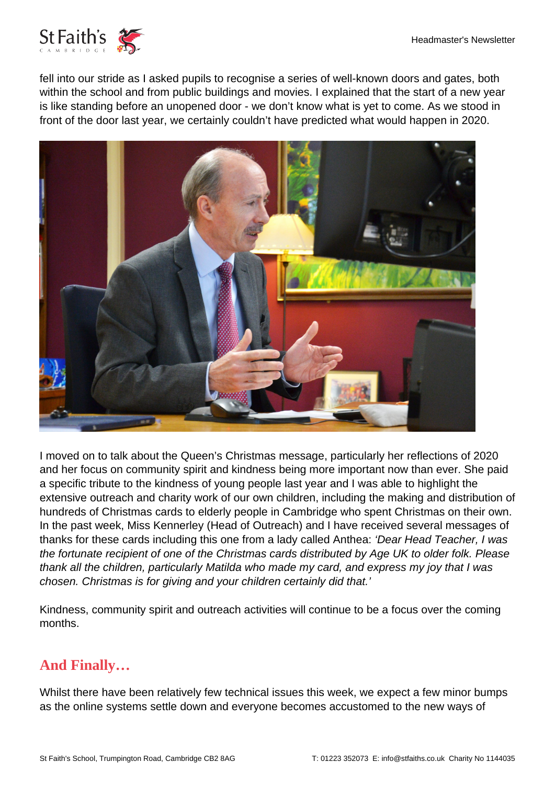

fell into our stride as I asked pupils to recognise a series of well-known doors and gates, both within the school and from public buildings and movies. I explained that the start of a new year is like standing before an unopened door - we don't know what is yet to come. As we stood in front of the door last year, we certainly couldn't have predicted what would happen in 2020.



I moved on to talk about the Queen's Christmas message, particularly her reflections of 2020 and her focus on community spirit and kindness being more important now than ever. She paid a specific tribute to the kindness of young people last year and I was able to highlight the extensive outreach and charity work of our own children, including the making and distribution of hundreds of Christmas cards to elderly people in Cambridge who spent Christmas on their own. In the past week, Miss Kennerley (Head of Outreach) and I have received several messages of thanks for these cards including this one from a lady called Anthea: 'Dear Head Teacher, I was the fortunate recipient of one of the Christmas cards distributed by Age UK to older folk. Please thank all the children, particularly Matilda who made my card, and express my joy that I was chosen. Christmas is for giving and your children certainly did that.'

Kindness, community spirit and outreach activities will continue to be a focus over the coming months.

## **And Finally…**

Whilst there have been relatively few technical issues this week, we expect a few minor bumps as the online systems settle down and everyone becomes accustomed to the new ways of